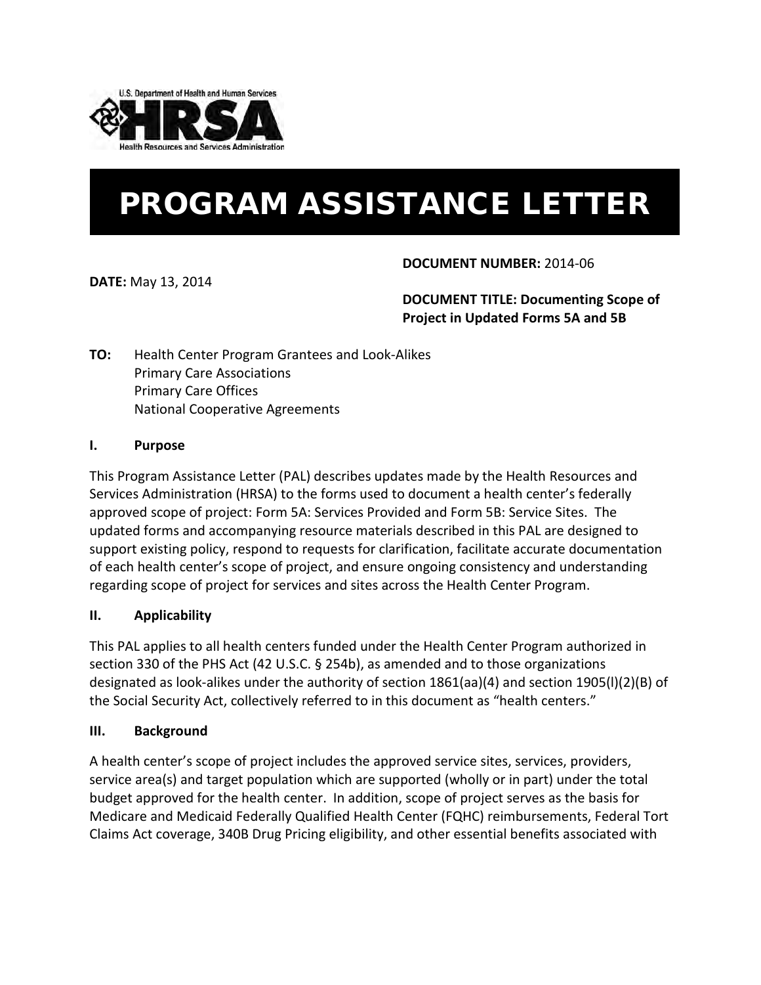

# PROGRAM ASSISTANCE LETTER

**DATE:** May 13, 2014

# **DOCUMENT NUMBER:** 2014-06

# **DOCUMENT TITLE: Documenting Scope of Project in Updated Forms 5A and 5B**

**TO:** Health Center Program Grantees and Look-Alikes Primary Care Associations Primary Care Offices National Cooperative Agreements

## **I. Purpose**

This Program Assistance Letter (PAL) describes updates made by the Health Resources and Services Administration (HRSA) to the forms used to document a health center's federally approved scope of project: Form 5A: Services Provided and Form 5B: Service Sites. The updated forms and accompanying resource materials described in this PAL are designed to support existing policy, respond to requests for clarification, facilitate accurate documentation of each health center's scope of project, and ensure ongoing consistency and understanding regarding scope of project for services and sites across the Health Center Program.

## **II. Applicability**

This PAL applies to all health centers funded under the Health Center Program authorized in section 330 of the PHS Act (42 U.S.C. § 254b), as amended and to those organizations designated as look-alikes under the authority of section 1861(aa)(4) and section 1905(l)(2)(B) of the Social Security Act, collectively referred to in this document as "health centers."

## **III. Background**

A health center's scope of project includes the approved service sites, services, providers, service area(s) and target population which are supported (wholly or in part) under the total budget approved for the health center. In addition, scope of project serves as the basis for Medicare and Medicaid Federally Qualified Health Center (FQHC) reimbursements, Federal Tort Claims Act coverage, 340B Drug Pricing eligibility, and other essential benefits associated with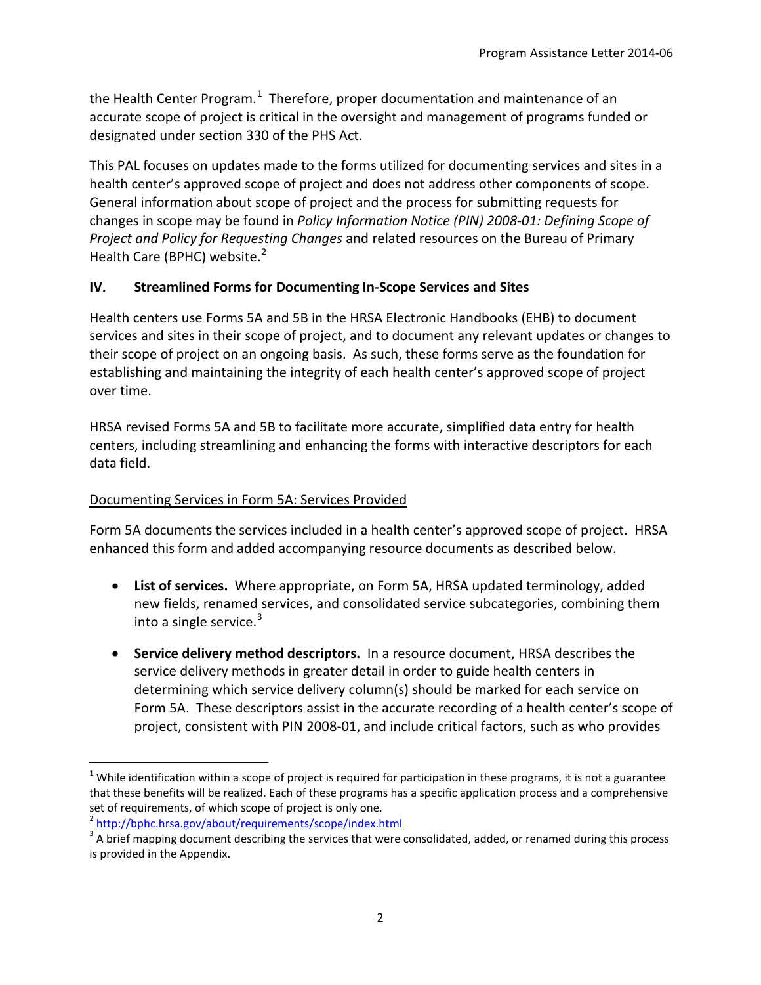the Health Center Program.<sup>[1](#page-1-0)</sup> Therefore, proper documentation and maintenance of an accurate scope of project is critical in the oversight and management of programs funded or designated under section 330 of the PHS Act.

This PAL focuses on updates made to the forms utilized for documenting services and sites in a health center's approved scope of project and does not address other components of scope. General information about scope of project and the process for submitting requests for changes in scope may be found in *Policy Information Notice (PIN) 2008-01: Defining Scope of Project and Policy for Requesting Changes* and related resources on the Bureau of Primary Health Care (BPHC) website.<sup>[2](#page-1-1)</sup>

#### **IV. Streamlined Forms for Documenting In-Scope Services and Sites**

Health centers use Forms 5A and 5B in the HRSA Electronic Handbooks (EHB) to document services and sites in their scope of project, and to document any relevant updates or changes to their scope of project on an ongoing basis. As such, these forms serve as the foundation for establishing and maintaining the integrity of each health center's approved scope of project over time.

HRSA revised Forms 5A and 5B to facilitate more accurate, simplified data entry for health centers, including streamlining and enhancing the forms with interactive descriptors for each data field.

#### Documenting Services in Form 5A: Services Provided

Form 5A documents the services included in a health center's approved scope of project. HRSA enhanced this form and added accompanying resource documents as described below.

- **List of services.** Where appropriate, on Form 5A, HRSA updated terminology, added new fields, renamed services, and consolidated service subcategories, combining them into a single service.<sup>[3](#page-1-2)</sup>
- **Service delivery method descriptors.** In a resource document, HRSA describes the service delivery methods in greater detail in order to guide health centers in determining which service delivery column(s) should be marked for each service on Form 5A. These descriptors assist in the accurate recording of a health center's scope of project, consistent with PIN 2008-01, and include critical factors, such as who provides

<span id="page-1-0"></span> $1$  While identification within a scope of project is required for participation in these programs, it is not a guarantee that these benefits will be realized. Each of these programs has a specific application process and a comprehensive set of requirements, of which scope of project is only one.<br>
<sup>2</sup> http://bphc.hrsa.gov/about/requirements/scope/index.html<br>
<sup>3</sup> A brief mapping document describing the services that were consolidated, added, or renamed duri

<span id="page-1-1"></span>

<span id="page-1-2"></span>is provided in the Appendix.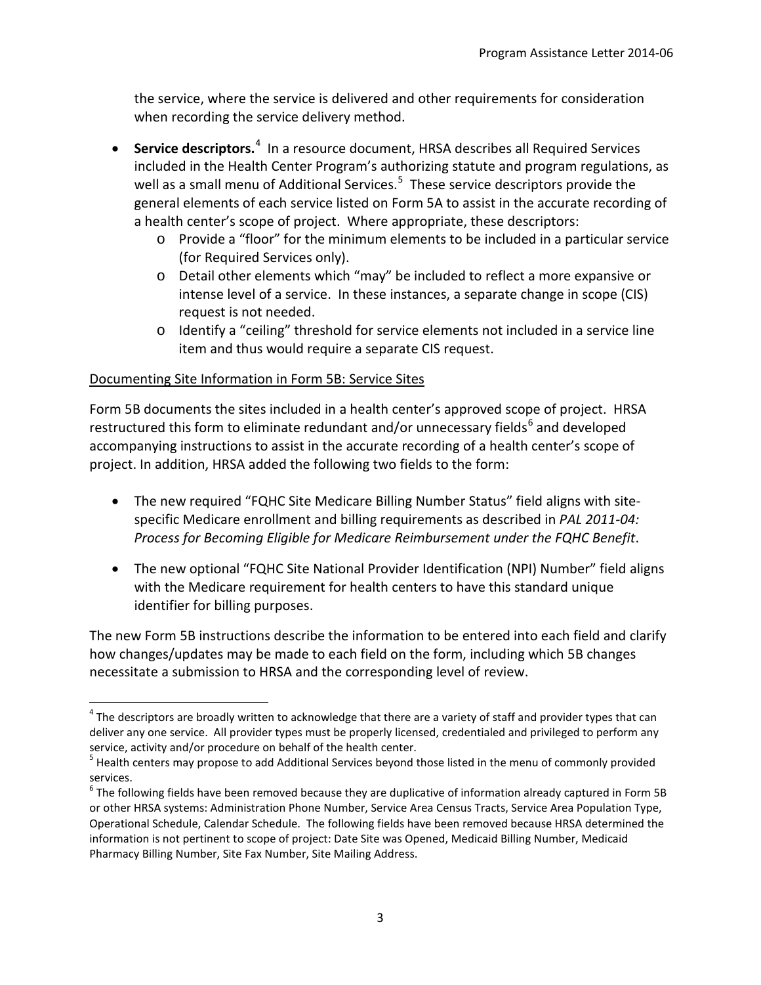the service, where the service is delivered and other requirements for consideration when recording the service delivery method.

- **Service descriptors.**<sup>[4](#page-2-0)</sup> In a resource document, HRSA describes all Required Services included in the Health Center Program's authorizing statute and program regulations, as well as a small menu of Additional Services.<sup>[5](#page-2-1)</sup> These service descriptors provide the general elements of each service listed on Form 5A to assist in the accurate recording of a health center's scope of project. Where appropriate, these descriptors:
	- o Provide a "floor" for the minimum elements to be included in a particular service (for Required Services only).
	- o Detail other elements which "may" be included to reflect a more expansive or intense level of a service. In these instances, a separate change in scope (CIS) request is not needed.
	- o Identify a "ceiling" threshold for service elements not included in a service line item and thus would require a separate CIS request.

## Documenting Site Information in Form 5B: Service Sites

Form 5B documents the sites included in a health center's approved scope of project. HRSA restructured this form to eliminate redundant and/or unnecessary fields<sup>[6](#page-2-2)</sup> and developed accompanying instructions to assist in the accurate recording of a health center's scope of project. In addition, HRSA added the following two fields to the form:

- The new required "FQHC Site Medicare Billing Number Status" field aligns with sitespecific Medicare enrollment and billing requirements as described in *PAL 2011-04: Process for Becoming Eligible for Medicare Reimbursement under the FQHC Benefit*.
- The new optional "FQHC Site National Provider Identification (NPI) Number" field aligns with the Medicare requirement for health centers to have this standard unique identifier for billing purposes.

The new Form 5B instructions describe the information to be entered into each field and clarify how changes/updates may be made to each field on the form, including which 5B changes necessitate a submission to HRSA and the corresponding level of review.

<span id="page-2-0"></span> $4$  The descriptors are broadly written to acknowledge that there are a variety of staff and provider types that can deliver any one service. All provider types must be properly licensed, credentialed and privileged to perform any service, activity and/or procedure on behalf of the health center.

<span id="page-2-1"></span><sup>&</sup>lt;sup>5</sup> Health centers may propose to add Additional Services beyond those listed in the menu of commonly provided services.

<span id="page-2-2"></span> $6$  The following fields have been removed because they are duplicative of information already captured in Form 5B or other HRSA systems: Administration Phone Number, Service Area Census Tracts, Service Area Population Type, Operational Schedule, Calendar Schedule. The following fields have been removed because HRSA determined the information is not pertinent to scope of project: Date Site was Opened, Medicaid Billing Number, Medicaid Pharmacy Billing Number, Site Fax Number, Site Mailing Address.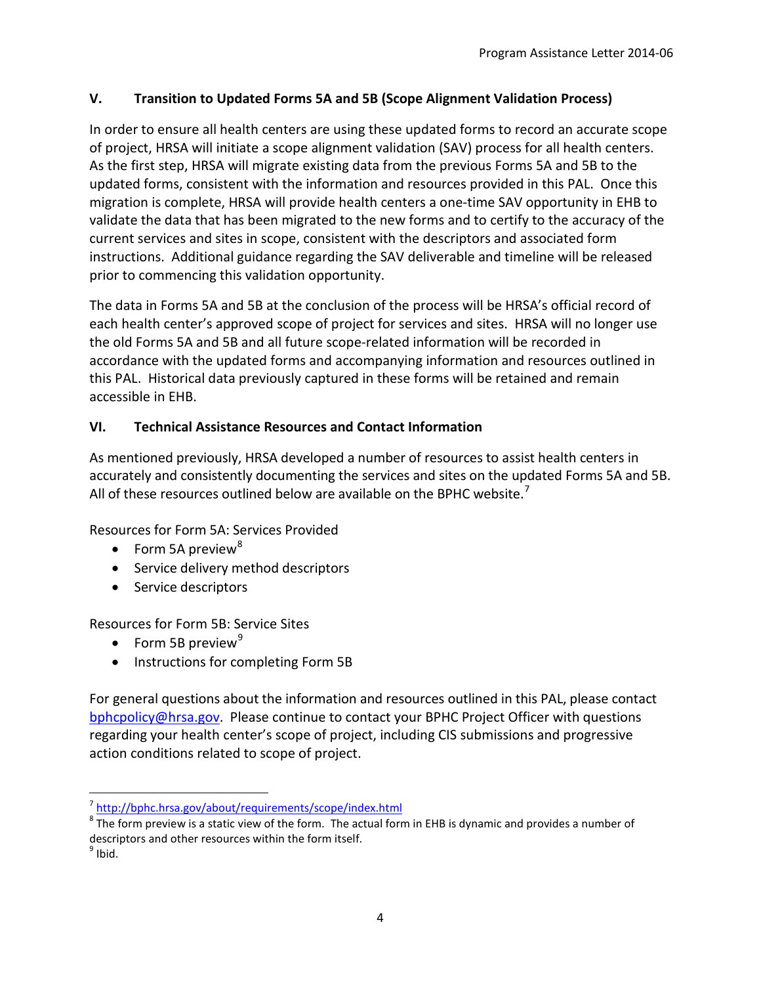## **V. Transition to Updated Forms 5A and 5B (Scope Alignment Validation Process)**

In order to ensure all health centers are using these updated forms to record an accurate scope of project, HRSA will initiate a scope alignment validation (SAV) process for all health centers. As the first step, HRSA will migrate existing data from the previous Forms 5A and 5B to the updated forms, consistent with the information and resources provided in this PAL. Once this migration is complete, HRSA will provide health centers a one-time SAV opportunity in EHB to validate the data that has been migrated to the new forms and to certify to the accuracy of the current services and sites in scope, consistent with the descriptors and associated form instructions. Additional guidance regarding the SAV deliverable and timeline will be released prior to commencing this validation opportunity.

The data in Forms 5A and 5B at the conclusion of the process will be HRSA's official record of each health center's approved scope of project for services and sites. HRSA will no longer use the old Forms 5A and 5B and all future scope-related information will be recorded in accordance with the updated forms and accompanying information and resources outlined in this PAL. Historical data previously captured in these forms will be retained and remain accessible in EHB.

# **VI. Technical Assistance Resources and Contact Information**

As mentioned previously, HRSA developed a number of resources to assist health centers in accurately and consistently documenting the services and sites on the updated Forms 5A and 5B. All of these resources outlined below are available on the BPHC website.<sup>[7](#page-3-0)</sup>

Resources for Form 5A: Services Provided

- Form 5A preview $8^8$  $8^8$
- Service delivery method descriptors
- Service descriptors

Resources for Form 5B: Service Sites

- Form 5B preview<sup>[9](#page-3-2)</sup>
- Instructions for completing Form 5B

For general questions about the information and resources outlined in this PAL, please contact [bphcpolicy@hrsa.gov.](mailto:bphcpolicy@hrsa.gov) Please continue to contact your BPHC Project Officer with questions regarding your health center's scope of project, including CIS submissions and progressive action conditions related to scope of project.

<span id="page-3-0"></span><sup>7</sup> <http://bphc.hrsa.gov/about/requirements/scope/index.html>

<span id="page-3-1"></span> $8$  The form preview is a static view of the form. The actual form in EHB is dynamic and provides a number of descriptors and other resources within the form itself.  $9 \text{ libid.}$ 

<span id="page-3-2"></span>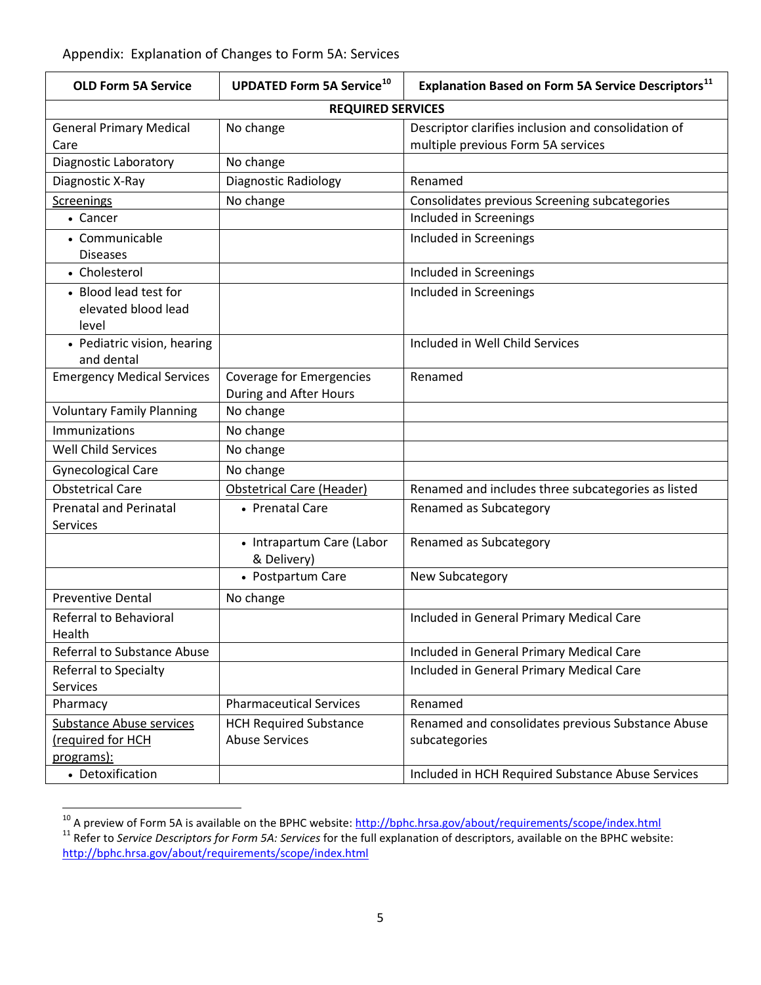## Appendix: Explanation of Changes to Form 5A: Services

| <b>OLD Form 5A Service</b>                            | <b>UPDATED Form 5A Service<sup>10</sup></b>        | Explanation Based on Form 5A Service Descriptors <sup>11</sup>                            |  |  |
|-------------------------------------------------------|----------------------------------------------------|-------------------------------------------------------------------------------------------|--|--|
| <b>REQUIRED SERVICES</b>                              |                                                    |                                                                                           |  |  |
| <b>General Primary Medical</b><br>Care                | No change                                          | Descriptor clarifies inclusion and consolidation of<br>multiple previous Form 5A services |  |  |
| Diagnostic Laboratory                                 | No change                                          |                                                                                           |  |  |
| Diagnostic X-Ray                                      | <b>Diagnostic Radiology</b>                        | Renamed                                                                                   |  |  |
| <b>Screenings</b>                                     | No change                                          | Consolidates previous Screening subcategories                                             |  |  |
| • Cancer                                              |                                                    | Included in Screenings                                                                    |  |  |
| • Communicable<br><b>Diseases</b>                     |                                                    | Included in Screenings                                                                    |  |  |
| • Cholesterol                                         |                                                    | Included in Screenings                                                                    |  |  |
| • Blood lead test for<br>elevated blood lead<br>level |                                                    | Included in Screenings                                                                    |  |  |
| • Pediatric vision, hearing<br>and dental             |                                                    | Included in Well Child Services                                                           |  |  |
| <b>Emergency Medical Services</b>                     | Coverage for Emergencies<br>During and After Hours | Renamed                                                                                   |  |  |
| <b>Voluntary Family Planning</b>                      | No change                                          |                                                                                           |  |  |
| Immunizations                                         | No change                                          |                                                                                           |  |  |
| <b>Well Child Services</b>                            | No change                                          |                                                                                           |  |  |
| <b>Gynecological Care</b>                             | No change                                          |                                                                                           |  |  |
| <b>Obstetrical Care</b>                               | <b>Obstetrical Care (Header)</b>                   | Renamed and includes three subcategories as listed                                        |  |  |
| <b>Prenatal and Perinatal</b><br><b>Services</b>      | • Prenatal Care                                    | Renamed as Subcategory                                                                    |  |  |
|                                                       | • Intrapartum Care (Labor<br>& Delivery)           | Renamed as Subcategory                                                                    |  |  |
|                                                       | • Postpartum Care                                  | New Subcategory                                                                           |  |  |
| <b>Preventive Dental</b>                              | No change                                          |                                                                                           |  |  |
| Referral to Behavioral<br>Health                      |                                                    | Included in General Primary Medical Care                                                  |  |  |
| Referral to Substance Abuse                           |                                                    | Included in General Primary Medical Care                                                  |  |  |
| Referral to Specialty<br><b>Services</b>              |                                                    | Included in General Primary Medical Care                                                  |  |  |
| Pharmacy                                              | <b>Pharmaceutical Services</b>                     | Renamed                                                                                   |  |  |
| Substance Abuse services                              | <b>HCH Required Substance</b>                      | Renamed and consolidates previous Substance Abuse                                         |  |  |
| required for HCH                                      | <b>Abuse Services</b>                              | subcategories                                                                             |  |  |
| programs):                                            |                                                    |                                                                                           |  |  |
| • Detoxification                                      |                                                    | Included in HCH Required Substance Abuse Services                                         |  |  |

<span id="page-4-0"></span><sup>&</sup>lt;sup>10</sup> A preview of Form 5A is available on the BPHC website:  $\frac{http://bphc.hrsa.gov/about/requirements/scope/index.html}{http://bphc.hrsa.gov/about/requirements/scope/index.html}$ <br><sup>11</sup> Refer to Service Descriptors for Form 5A: Services for the full explanation of descriptors, available on the BPHC

<span id="page-4-1"></span><http://bphc.hrsa.gov/about/requirements/scope/index.html>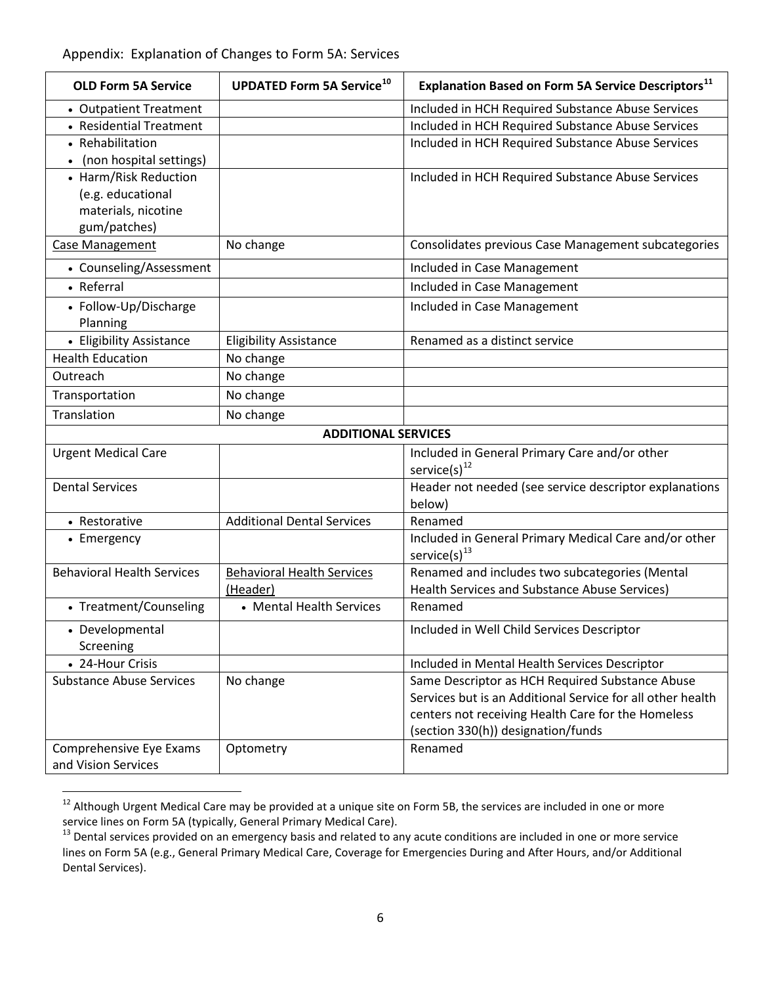| <b>OLD Form 5A Service</b>        | <b>UPDATED Form 5A Service<sup>10</sup></b> | <b>Explanation Based on Form 5A Service Descriptors</b> <sup>11</sup>       |
|-----------------------------------|---------------------------------------------|-----------------------------------------------------------------------------|
| • Outpatient Treatment            |                                             | Included in HCH Required Substance Abuse Services                           |
| • Residential Treatment           |                                             | Included in HCH Required Substance Abuse Services                           |
| • Rehabilitation                  |                                             | Included in HCH Required Substance Abuse Services                           |
| (non hospital settings)           |                                             |                                                                             |
| • Harm/Risk Reduction             |                                             | Included in HCH Required Substance Abuse Services                           |
| (e.g. educational                 |                                             |                                                                             |
| materials, nicotine               |                                             |                                                                             |
| gum/patches)                      |                                             |                                                                             |
| Case Management                   | No change                                   | Consolidates previous Case Management subcategories                         |
| • Counseling/Assessment           |                                             | Included in Case Management                                                 |
| • Referral                        |                                             | Included in Case Management                                                 |
| • Follow-Up/Discharge<br>Planning |                                             | Included in Case Management                                                 |
| • Eligibility Assistance          | <b>Eligibility Assistance</b>               | Renamed as a distinct service                                               |
| <b>Health Education</b>           | No change                                   |                                                                             |
| Outreach                          | No change                                   |                                                                             |
| Transportation                    | No change                                   |                                                                             |
| Translation                       | No change                                   |                                                                             |
|                                   | <b>ADDITIONAL SERVICES</b>                  |                                                                             |
| <b>Urgent Medical Care</b>        |                                             | Included in General Primary Care and/or other                               |
|                                   |                                             | service(s) $^{12}$                                                          |
| <b>Dental Services</b>            |                                             | Header not needed (see service descriptor explanations                      |
|                                   |                                             | below)                                                                      |
| • Restorative                     | <b>Additional Dental Services</b>           | Renamed                                                                     |
| • Emergency                       |                                             | Included in General Primary Medical Care and/or other<br>service(s) $^{13}$ |
| <b>Behavioral Health Services</b> | <b>Behavioral Health Services</b>           | Renamed and includes two subcategories (Mental                              |
|                                   | (Header)                                    | Health Services and Substance Abuse Services)                               |
| • Treatment/Counseling            | • Mental Health Services                    | Renamed                                                                     |
| • Developmental                   |                                             | Included in Well Child Services Descriptor                                  |
| Screening                         |                                             |                                                                             |
| • 24-Hour Crisis                  |                                             | Included in Mental Health Services Descriptor                               |
| <b>Substance Abuse Services</b>   | No change                                   | Same Descriptor as HCH Required Substance Abuse                             |
|                                   |                                             | Services but is an Additional Service for all other health                  |
|                                   |                                             | centers not receiving Health Care for the Homeless                          |
|                                   |                                             | (section 330(h)) designation/funds                                          |
| Comprehensive Eye Exams           | Optometry                                   | Renamed                                                                     |
| and Vision Services               |                                             |                                                                             |

<span id="page-5-0"></span><sup>&</sup>lt;sup>12</sup> Although Urgent Medical Care may be provided at a unique site on Form 5B, the services are included in one or more service lines on Form 5A (typically, General Primary Medical Care).

<span id="page-5-1"></span> $13$  Dental services provided on an emergency basis and related to any acute conditions are included in one or more service lines on Form 5A (e.g., General Primary Medical Care, Coverage for Emergencies During and After Hours, and/or Additional Dental Services).